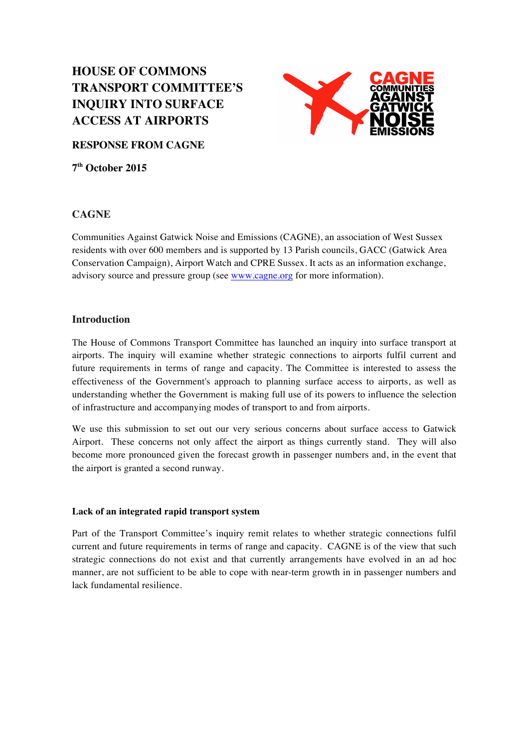# **HOUSE OF COMMONS TRANSPORT COMMITTEE'S INQUIRY INTO SURFACE ACCESS AT AIRPORTS**



**RESPONSE FROM CAGNE**

**7th October 2015** 

# **CAGNE**

Communities Against Gatwick Noise and Emissions (CAGNE), an association of West Sussex residents with over 600 members and is supported by 13 Parish councils, GACC (Gatwick Area Conservation Campaign), Airport Watch and CPRE Sussex. It acts as an information exchange, advisory source and pressure group (see www.cagne.org for more information).

# **Introduction**

The House of Commons Transport Committee has launched an inquiry into surface transport at airports. The inquiry will examine whether strategic connections to airports fulfil current and future requirements in terms of range and capacity. The Committee is interested to assess the effectiveness of the Government's approach to planning surface access to airports, as well as understanding whether the Government is making full use of its powers to influence the selection of infrastructure and accompanying modes of transport to and from airports.

We use this submission to set out our very serious concerns about surface access to Gatwick Airport. These concerns not only affect the airport as things currently stand. They will also become more pronounced given the forecast growth in passenger numbers and, in the event that the airport is granted a second runway.

# **Lack of an integrated rapid transport system**

Part of the Transport Committee's inquiry remit relates to whether strategic connections fulfil current and future requirements in terms of range and capacity. CAGNE is of the view that such strategic connections do not exist and that currently arrangements have evolved in an ad hoc manner, are not sufficient to be able to cope with near-term growth in in passenger numbers and lack fundamental resilience.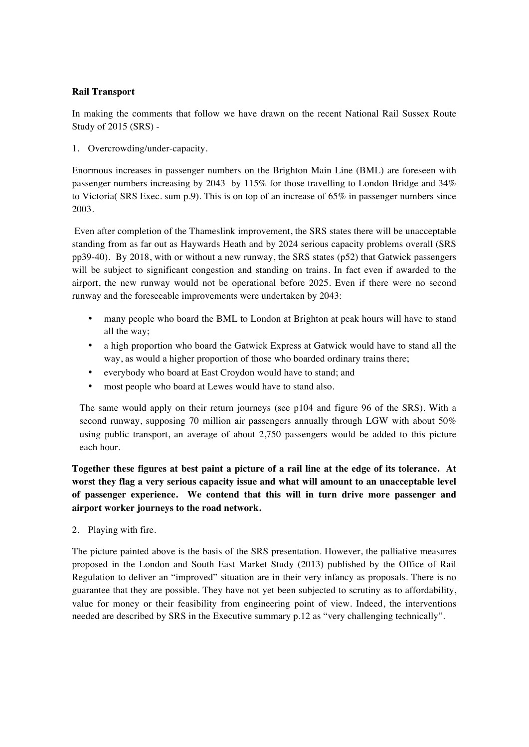## **Rail Transport**

In making the comments that follow we have drawn on the recent National Rail Sussex Route Study of 2015 (SRS) -

1. Overcrowding/under-capacity.

Enormous increases in passenger numbers on the Brighton Main Line (BML) are foreseen with passenger numbers increasing by 2043 by 115% for those travelling to London Bridge and 34% to Victoria( SRS Exec. sum p.9). This is on top of an increase of 65% in passenger numbers since 2003.

Even after completion of the Thameslink improvement, the SRS states there will be unacceptable standing from as far out as Haywards Heath and by 2024 serious capacity problems overall (SRS pp39-40). By 2018, with or without a new runway, the SRS states (p52) that Gatwick passengers will be subject to significant congestion and standing on trains. In fact even if awarded to the airport, the new runway would not be operational before 2025. Even if there were no second runway and the foreseeable improvements were undertaken by 2043:

- many people who board the BML to London at Brighton at peak hours will have to stand all the way;
- a high proportion who board the Gatwick Express at Gatwick would have to stand all the way, as would a higher proportion of those who boarded ordinary trains there;
- everybody who board at East Croydon would have to stand; and
- most people who board at Lewes would have to stand also.

The same would apply on their return journeys (see p104 and figure 96 of the SRS). With a second runway, supposing 70 million air passengers annually through LGW with about 50% using public transport, an average of about 2,750 passengers would be added to this picture each hour.

**Together these figures at best paint a picture of a rail line at the edge of its tolerance. At worst they flag a very serious capacity issue and what will amount to an unacceptable level of passenger experience. We contend that this will in turn drive more passenger and airport worker journeys to the road network.**

2. Playing with fire.

The picture painted above is the basis of the SRS presentation. However, the palliative measures proposed in the London and South East Market Study (2013) published by the Office of Rail Regulation to deliver an "improved" situation are in their very infancy as proposals. There is no guarantee that they are possible. They have not yet been subjected to scrutiny as to affordability, value for money or their feasibility from engineering point of view. Indeed, the interventions needed are described by SRS in the Executive summary p.12 as "very challenging technically".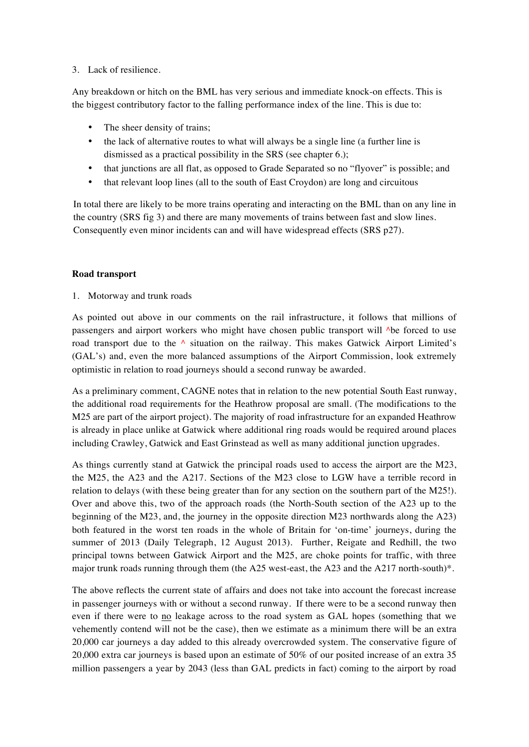## 3. Lack of resilience.

Any breakdown or hitch on the BML has very serious and immediate knock-on effects. This is the biggest contributory factor to the falling performance index of the line. This is due to:

- The sheer density of trains;
- the lack of alternative routes to what will always be a single line (a further line is dismissed as a practical possibility in the SRS (see chapter 6.);
- that junctions are all flat, as opposed to Grade Separated so no "flyover" is possible; and
- that relevant loop lines (all to the south of East Croydon) are long and circuitous

In total there are likely to be more trains operating and interacting on the BML than on any line in the country (SRS fig 3) and there are many movements of trains between fast and slow lines. Consequently even minor incidents can and will have widespread effects (SRS p27).

## **Road transport**

1. Motorway and trunk roads

As pointed out above in our comments on the rail infrastructure, it follows that millions of passengers and airport workers who might have chosen public transport will ^be forced to use road transport due to the  $\land$  situation on the railway. This makes Gatwick Airport Limited's (GAL's) and, even the more balanced assumptions of the Airport Commission, look extremely optimistic in relation to road journeys should a second runway be awarded.

As a preliminary comment, CAGNE notes that in relation to the new potential South East runway, the additional road requirements for the Heathrow proposal are small. (The modifications to the M25 are part of the airport project). The majority of road infrastructure for an expanded Heathrow is already in place unlike at Gatwick where additional ring roads would be required around places including Crawley, Gatwick and East Grinstead as well as many additional junction upgrades.

As things currently stand at Gatwick the principal roads used to access the airport are the M23, the M25, the A23 and the A217. Sections of the M23 close to LGW have a terrible record in relation to delays (with these being greater than for any section on the southern part of the M25!). Over and above this, two of the approach roads (the North-South section of the A23 up to the beginning of the M23, and, the journey in the opposite direction M23 northwards along the A23) both featured in the worst ten roads in the whole of Britain for 'on-time' journeys, during the summer of 2013 (Daily Telegraph, 12 August 2013). Further, Reigate and Redhill, the two principal towns between Gatwick Airport and the M25, are choke points for traffic, with three major trunk roads running through them (the A25 west-east, the A23 and the A217 north-south)\*.

The above reflects the current state of affairs and does not take into account the forecast increase in passenger journeys with or without a second runway. If there were to be a second runway then even if there were to no leakage across to the road system as GAL hopes (something that we vehemently contend will not be the case), then we estimate as a minimum there will be an extra 20,000 car journeys a day added to this already overcrowded system. The conservative figure of 20,000 extra car journeys is based upon an estimate of 50% of our posited increase of an extra 35 million passengers a year by 2043 (less than GAL predicts in fact) coming to the airport by road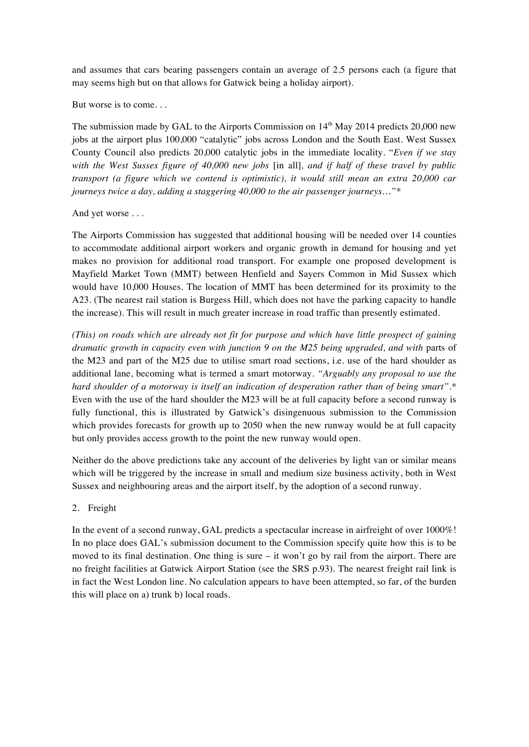and assumes that cars bearing passengers contain an average of 2.5 persons each (a figure that may seems high but on that allows for Gatwick being a holiday airport).

But worse is to come. . .

The submission made by GAL to the Airports Commission on  $14<sup>th</sup>$  May 2014 predicts 20,000 new jobs at the airport plus 100,000 "catalytic" jobs across London and the South East. West Sussex County Council also predicts 20,000 catalytic jobs in the immediate locality. "*Even if we stay with the West Sussex figure of 40,000 new jobs* [in all]*, and if half of these travel by public transport (a figure which we contend is optimistic), it would still mean an extra 20,000 car journeys twice a day, adding a staggering 40,000 to the air passenger journeys…"\**

#### And yet worse . . .

The Airports Commission has suggested that additional housing will be needed over 14 counties to accommodate additional airport workers and organic growth in demand for housing and yet makes no provision for additional road transport. For example one proposed development is Mayfield Market Town (MMT) between Henfield and Sayers Common in Mid Sussex which would have 10,000 Houses. The location of MMT has been determined for its proximity to the A23. (The nearest rail station is Burgess Hill, which does not have the parking capacity to handle the increase). This will result in much greater increase in road traffic than presently estimated.

*(This) on roads which are already not fit for purpose and which have little prospect of gaining dramatic growth in capacity even with junction 9 on the M25 being upgraded, and with* parts of the M23 and part of the M25 due to utilise smart road sections, i.e. use of the hard shoulder as additional lane, becoming what is termed a smart motorway. *"Arguably any proposal to use the hard shoulder of a motorway is itself an indication of desperation rather than of being smart".\** Even with the use of the hard shoulder the M23 will be at full capacity before a second runway is fully functional, this is illustrated by Gatwick's disingenuous submission to the Commission which provides forecasts for growth up to 2050 when the new runway would be at full capacity but only provides access growth to the point the new runway would open.

Neither do the above predictions take any account of the deliveries by light van or similar means which will be triggered by the increase in small and medium size business activity, both in West Sussex and neighbouring areas and the airport itself, by the adoption of a second runway.

#### 2. Freight

In the event of a second runway, GAL predicts a spectacular increase in airfreight of over 1000%! In no place does GAL's submission document to the Commission specify quite how this is to be moved to its final destination. One thing is sure – it won't go by rail from the airport. There are no freight facilities at Gatwick Airport Station (see the SRS p.93). The nearest freight rail link is in fact the West London line. No calculation appears to have been attempted, so far, of the burden this will place on a) trunk b) local roads.